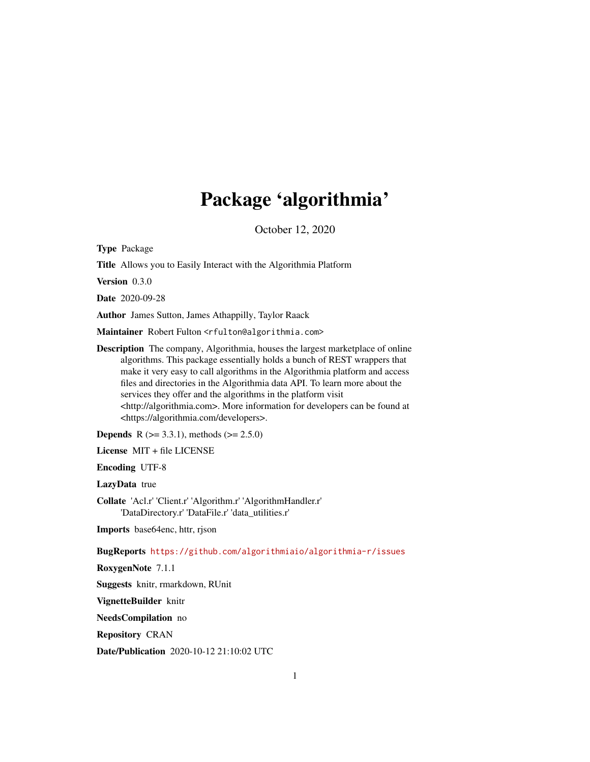## Package 'algorithmia'

October 12, 2020

Type Package

Title Allows you to Easily Interact with the Algorithmia Platform

Version 0.3.0

Date 2020-09-28

Author James Sutton, James Athappilly, Taylor Raack

Maintainer Robert Fulton <rfulton@algorithmia.com>

Description The company, Algorithmia, houses the largest marketplace of online algorithms. This package essentially holds a bunch of REST wrappers that make it very easy to call algorithms in the Algorithmia platform and access files and directories in the Algorithmia data API. To learn more about the services they offer and the algorithms in the platform visit <http://algorithmia.com>. More information for developers can be found at <https://algorithmia.com/developers>.

**Depends** R ( $>= 3.3.1$ ), methods ( $>= 2.5.0$ )

License MIT + file LICENSE

Encoding UTF-8

LazyData true

Collate 'Acl.r' 'Client.r' 'Algorithm.r' 'AlgorithmHandler.r' 'DataDirectory.r' 'DataFile.r' 'data\_utilities.r'

Imports base64enc, httr, rjson

BugReports <https://github.com/algorithmiaio/algorithmia-r/issues>

RoxygenNote 7.1.1

Suggests knitr, rmarkdown, RUnit

VignetteBuilder knitr

NeedsCompilation no

Repository CRAN

Date/Publication 2020-10-12 21:10:02 UTC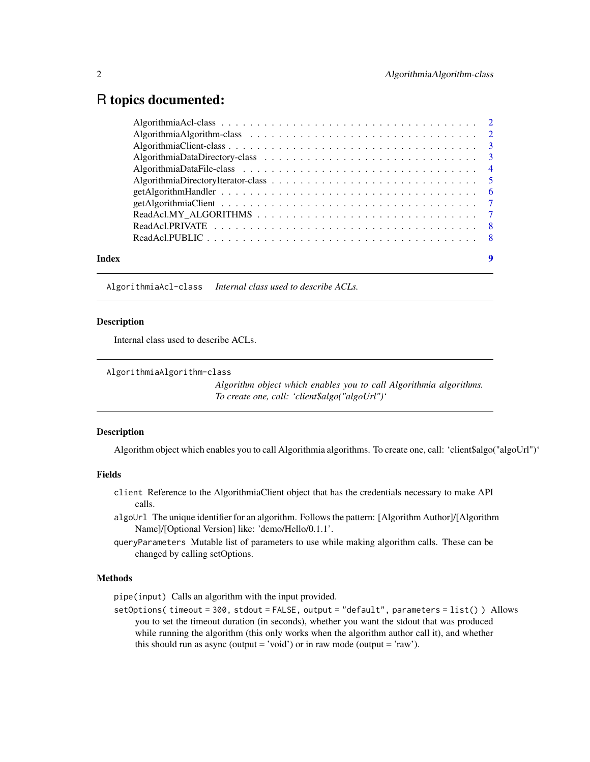### <span id="page-1-0"></span>R topics documented:

| Index |  |
|-------|--|

AlgorithmiaAcl-class *Internal class used to describe ACLs.*

#### Description

Internal class used to describe ACLs.

AlgorithmiaAlgorithm-class

*Algorithm object which enables you to call Algorithmia algorithms. To create one, call: 'client\$algo("algoUrl")'*

#### Description

Algorithm object which enables you to call Algorithmia algorithms. To create one, call: 'client\$algo("algoUrl")'

#### Fields

- client Reference to the AlgorithmiaClient object that has the credentials necessary to make API calls.
- algoUrl The unique identifier for an algorithm. Follows the pattern: [Algorithm Author]/[Algorithm Name]/[Optional Version] like: 'demo/Hello/0.1.1'.
- queryParameters Mutable list of parameters to use while making algorithm calls. These can be changed by calling setOptions.

#### Methods

pipe(input) Calls an algorithm with the input provided.

setOptions( timeout = 300, stdout = FALSE, output = "default", parameters = list() ) Allows you to set the timeout duration (in seconds), whether you want the stdout that was produced while running the algorithm (this only works when the algorithm author call it), and whether this should run as async (output = 'void') or in raw mode (output = 'raw').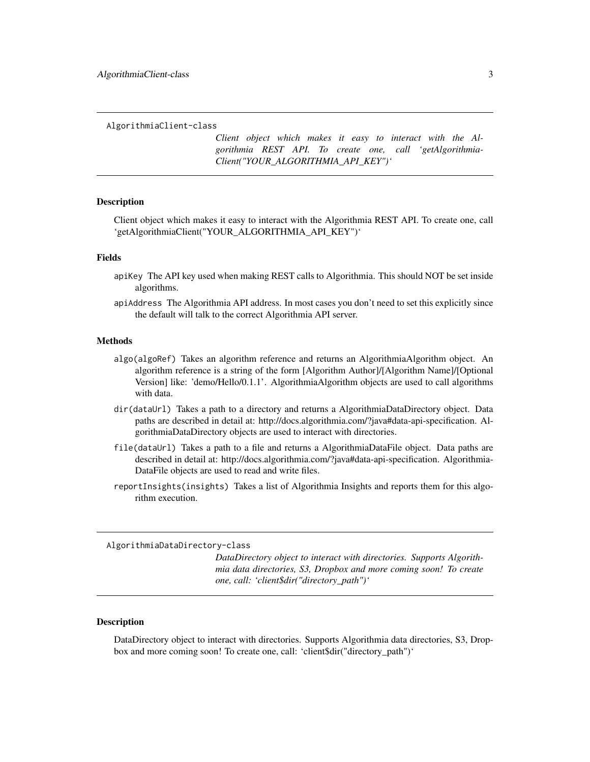<span id="page-2-0"></span>AlgorithmiaClient-class

*Client object which makes it easy to interact with the Algorithmia REST API. To create one, call 'getAlgorithmia-Client("YOUR\_ALGORITHMIA\_API\_KEY")'*

#### Description

Client object which makes it easy to interact with the Algorithmia REST API. To create one, call 'getAlgorithmiaClient("YOUR\_ALGORITHMIA\_API\_KEY")'

#### Fields

- apiKey The API key used when making REST calls to Algorithmia. This should NOT be set inside algorithms.
- apiAddress The Algorithmia API address. In most cases you don't need to set this explicitly since the default will talk to the correct Algorithmia API server.

#### Methods

- algo(algoRef) Takes an algorithm reference and returns an AlgorithmiaAlgorithm object. An algorithm reference is a string of the form [Algorithm Author]/[Algorithm Name]/[Optional Version] like: 'demo/Hello/0.1.1'. AlgorithmiaAlgorithm objects are used to call algorithms with data.
- dir(dataUrl) Takes a path to a directory and returns a AlgorithmiaDataDirectory object. Data paths are described in detail at: http://docs.algorithmia.com/?java#data-api-specification. AlgorithmiaDataDirectory objects are used to interact with directories.
- file(dataUrl) Takes a path to a file and returns a AlgorithmiaDataFile object. Data paths are described in detail at: http://docs.algorithmia.com/?java#data-api-specification. Algorithmia-DataFile objects are used to read and write files.
- reportInsights(insights) Takes a list of Algorithmia Insights and reports them for this algorithm execution.

AlgorithmiaDataDirectory-class

*DataDirectory object to interact with directories. Supports Algorithmia data directories, S3, Dropbox and more coming soon! To create one, call: 'client\$dir("directory\_path")'*

#### **Description**

DataDirectory object to interact with directories. Supports Algorithmia data directories, S3, Dropbox and more coming soon! To create one, call: 'client\$dir("directory\_path")'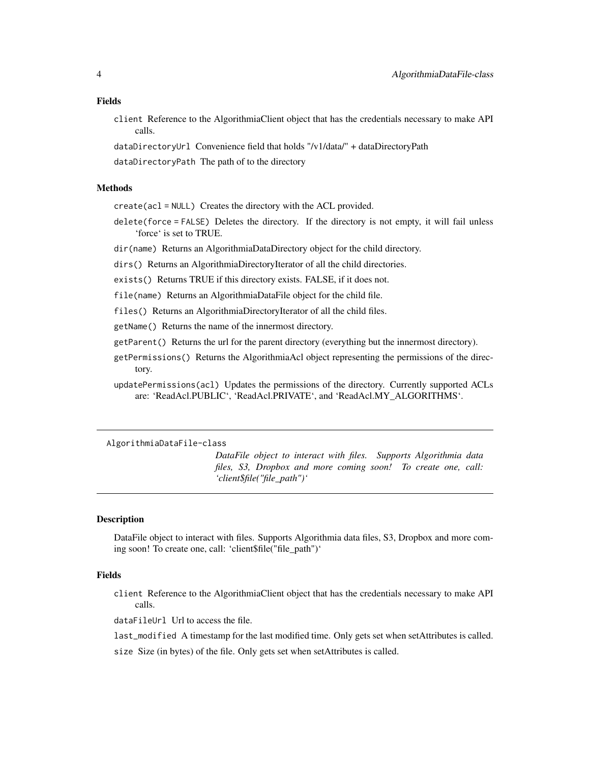#### <span id="page-3-0"></span>Fields

- client Reference to the AlgorithmiaClient object that has the credentials necessary to make API calls.
- dataDirectoryUrl Convenience field that holds "/v1/data/" + dataDirectoryPath
- dataDirectoryPath The path of to the directory

#### Methods

- create(acl = NULL) Creates the directory with the ACL provided.
- delete(force = FALSE) Deletes the directory. If the directory is not empty, it will fail unless 'force' is set to TRUE.
- dir(name) Returns an AlgorithmiaDataDirectory object for the child directory.
- dirs() Returns an AlgorithmiaDirectoryIterator of all the child directories.
- exists() Returns TRUE if this directory exists. FALSE, if it does not.
- file(name) Returns an AlgorithmiaDataFile object for the child file.
- files() Returns an AlgorithmiaDirectoryIterator of all the child files.
- getName() Returns the name of the innermost directory.
- getParent() Returns the url for the parent directory (everything but the innermost directory).
- getPermissions() Returns the AlgorithmiaAcl object representing the permissions of the directory.
- updatePermissions(acl) Updates the permissions of the directory. Currently supported ACLs are: 'ReadAcl.PUBLIC', 'ReadAcl.PRIVATE', and 'ReadAcl.MY\_ALGORITHMS'.

AlgorithmiaDataFile-class

*DataFile object to interact with files. Supports Algorithmia data files, S3, Dropbox and more coming soon! To create one, call: 'client\$file("file\_path")'*

#### Description

DataFile object to interact with files. Supports Algorithmia data files, S3, Dropbox and more coming soon! To create one, call: 'client\$file("file\_path")'

#### Fields

- client Reference to the AlgorithmiaClient object that has the credentials necessary to make API calls.
- dataFileUrl Url to access the file.
- last\_modified A timestamp for the last modified time. Only gets set when setAttributes is called.
- size Size (in bytes) of the file. Only gets set when setAttributes is called.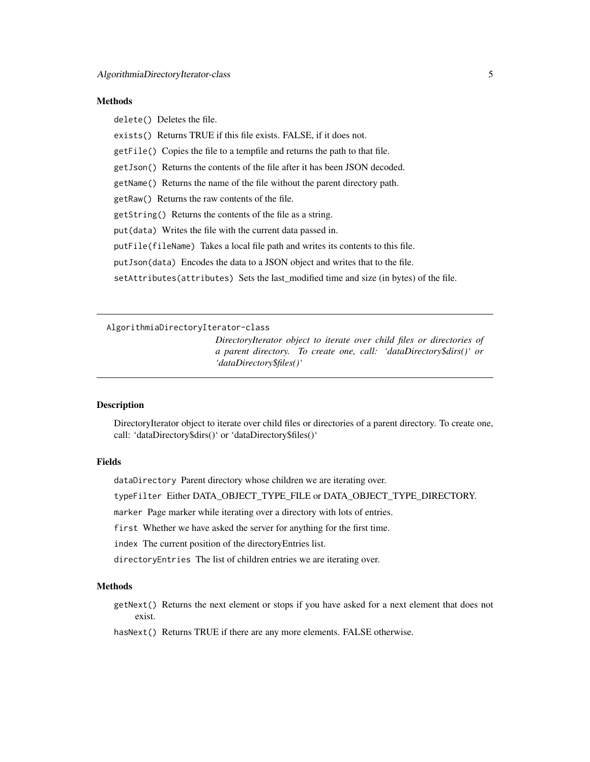#### <span id="page-4-0"></span>**Methods**

delete() Deletes the file.

exists() Returns TRUE if this file exists. FALSE, if it does not.

getFile() Copies the file to a tempfile and returns the path to that file.

getJson() Returns the contents of the file after it has been JSON decoded.

getName() Returns the name of the file without the parent directory path.

getRaw() Returns the raw contents of the file.

getString() Returns the contents of the file as a string.

put(data) Writes the file with the current data passed in.

putFile(fileName) Takes a local file path and writes its contents to this file.

putJson(data) Encodes the data to a JSON object and writes that to the file.

setAttributes(attributes) Sets the last\_modified time and size (in bytes) of the file.

AlgorithmiaDirectoryIterator-class

*DirectoryIterator object to iterate over child files or directories of a parent directory. To create one, call: 'dataDirectory\$dirs()' or 'dataDirectory\$files()'*

#### Description

DirectoryIterator object to iterate over child files or directories of a parent directory. To create one, call: 'dataDirectory\$dirs()' or 'dataDirectory\$files()'

#### Fields

dataDirectory Parent directory whose children we are iterating over.

typeFilter Either DATA\_OBJECT\_TYPE\_FILE or DATA\_OBJECT\_TYPE\_DIRECTORY.

marker Page marker while iterating over a directory with lots of entries.

first Whether we have asked the server for anything for the first time.

index The current position of the directoryEntries list.

directoryEntries The list of children entries we are iterating over.

#### Methods

getNext() Returns the next element or stops if you have asked for a next element that does not exist.

hasNext() Returns TRUE if there are any more elements. FALSE otherwise.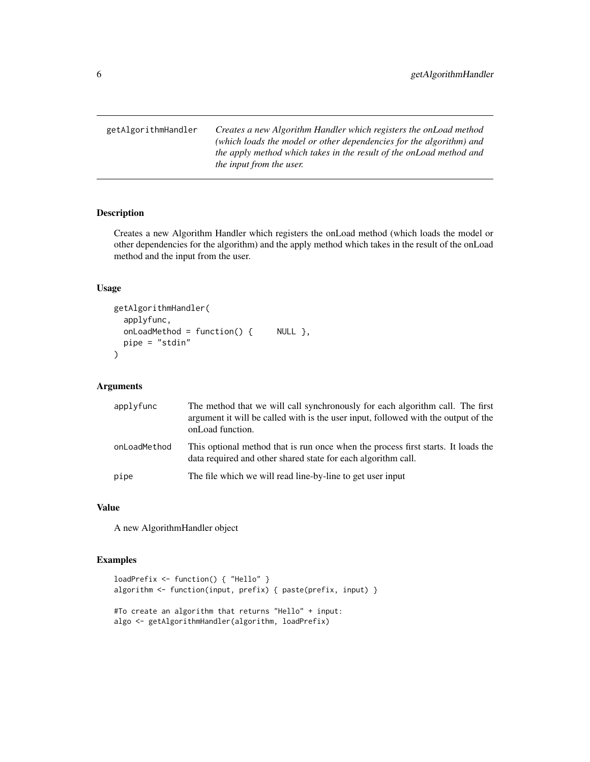<span id="page-5-0"></span>getAlgorithmHandler *Creates a new Algorithm Handler which registers the onLoad method (which loads the model or other dependencies for the algorithm) and the apply method which takes in the result of the onLoad method and the input from the user.*

#### Description

Creates a new Algorithm Handler which registers the onLoad method (which loads the model or other dependencies for the algorithm) and the apply method which takes in the result of the onLoad method and the input from the user.

#### Usage

```
getAlgorithmHandler(
  applyfunc,
 onLoadMethod = function() { NULL },
 pipe = "stdin"
\mathcal{L}
```
#### Arguments

| applyfunc    | The method that we will call synchronously for each algorithm call. The first<br>argument it will be called with is the user input, followed with the output of the<br>onLoad function. |
|--------------|-----------------------------------------------------------------------------------------------------------------------------------------------------------------------------------------|
| onLoadMethod | This optional method that is run once when the process first starts. It loads the<br>data required and other shared state for each algorithm call.                                      |
| pipe         | The file which we will read line-by-line to get user input                                                                                                                              |

#### Value

A new AlgorithmHandler object

#### Examples

```
loadPrefix <- function() { "Hello" }
algorithm <- function(input, prefix) { paste(prefix, input) }
#To create an algorithm that returns "Hello" + input:
algo <- getAlgorithmHandler(algorithm, loadPrefix)
```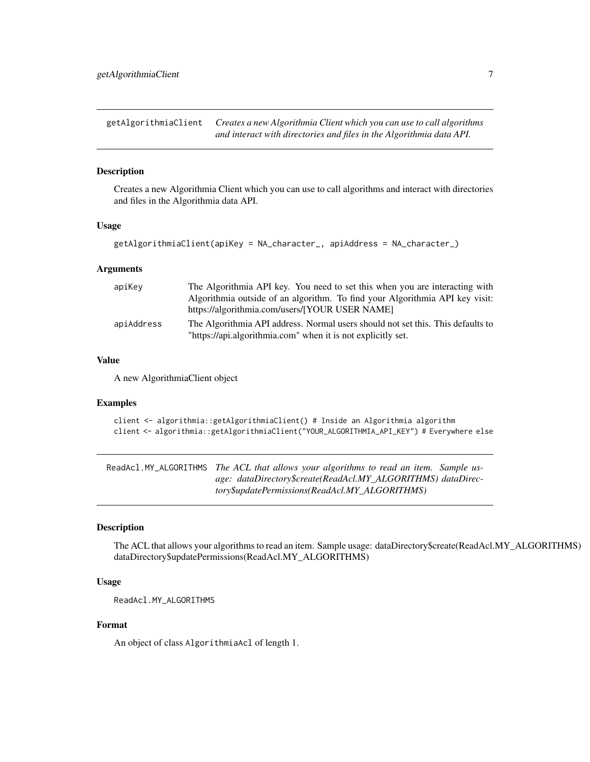<span id="page-6-0"></span>getAlgorithmiaClient *Creates a new Algorithmia Client which you can use to call algorithms and interact with directories and files in the Algorithmia data API.*

#### **Description**

Creates a new Algorithmia Client which you can use to call algorithms and interact with directories and files in the Algorithmia data API.

#### Usage

```
getAlgorithmiaClient(apiKey = NA_character_, apiAddress = NA_character_)
```
#### Arguments

| apiKey     | The Algorithmia API key. You need to set this when you are interacting with     |
|------------|---------------------------------------------------------------------------------|
|            | Algorithmia outside of an algorithm. To find your Algorithmia API key visit:    |
|            | https://algorithmia.com/users/[YOUR USER NAME]                                  |
| apiAddress | The Algorithmia API address. Normal users should not set this. This defaults to |
|            | "https://api.algorithmia.com" when it is not explicitly set.                    |

#### Value

A new AlgorithmiaClient object

#### Examples

client <- algorithmia::getAlgorithmiaClient() # Inside an Algorithmia algorithm client <- algorithmia::getAlgorithmiaClient("YOUR\_ALGORITHMIA\_API\_KEY") # Everywhere else

ReadAcl.MY\_ALGORITHMS *The ACL that allows your algorithms to read an item. Sample usage: dataDirectory\$create(ReadAcl.MY\_ALGORITHMS) dataDirectory\$updatePermissions(ReadAcl.MY\_ALGORITHMS)*

#### Description

The ACL that allows your algorithms to read an item. Sample usage: dataDirectory\$create(ReadAcl.MY\_ALGORITHMS) dataDirectory\$updatePermissions(ReadAcl.MY\_ALGORITHMS)

#### Usage

```
ReadAcl.MY_ALGORITHMS
```
#### Format

An object of class AlgorithmiaAcl of length 1.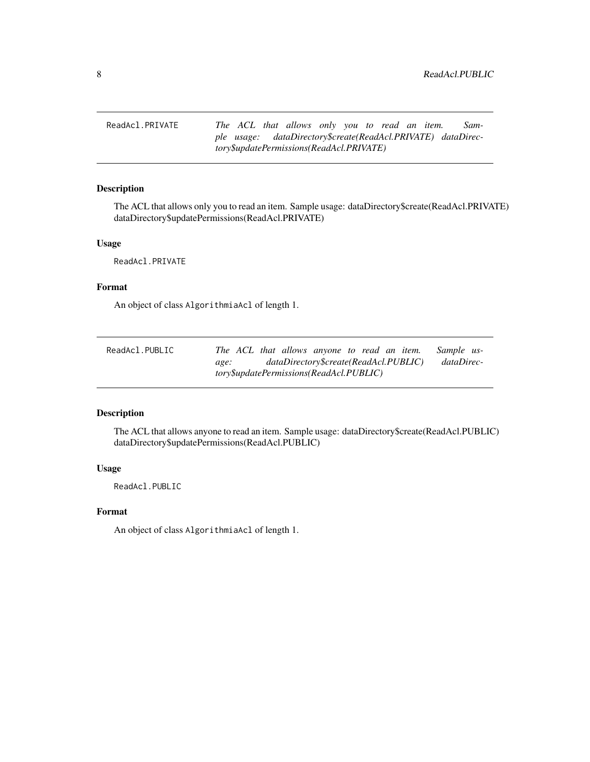<span id="page-7-0"></span>ReadAcl.PRIVATE *The ACL that allows only you to read an item. Sample usage: dataDirectory\$create(ReadAcl.PRIVATE) dataDirectory\$updatePermissions(ReadAcl.PRIVATE)*

#### Description

The ACL that allows only you to read an item. Sample usage: dataDirectory\$create(ReadAcl.PRIVATE) dataDirectory\$updatePermissions(ReadAcl.PRIVATE)

#### Usage

ReadAcl.PRIVATE

#### Format

An object of class AlgorithmiaAcl of length 1.

| ReadAcl.PUBLIC |                                         | The ACL that allows anyone to read an item. | Sample us- |
|----------------|-----------------------------------------|---------------------------------------------|------------|
|                | age:                                    | dataDirectory\$create(ReadAcl.PUBLIC)       | dataDirec- |
|                | tory\$updatePermissions(ReadAcl.PUBLIC) |                                             |            |

#### Description

The ACL that allows anyone to read an item. Sample usage: dataDirectory\$create(ReadAcl.PUBLIC) dataDirectory\$updatePermissions(ReadAcl.PUBLIC)

#### Usage

ReadAcl.PUBLIC

#### Format

An object of class AlgorithmiaAcl of length 1.